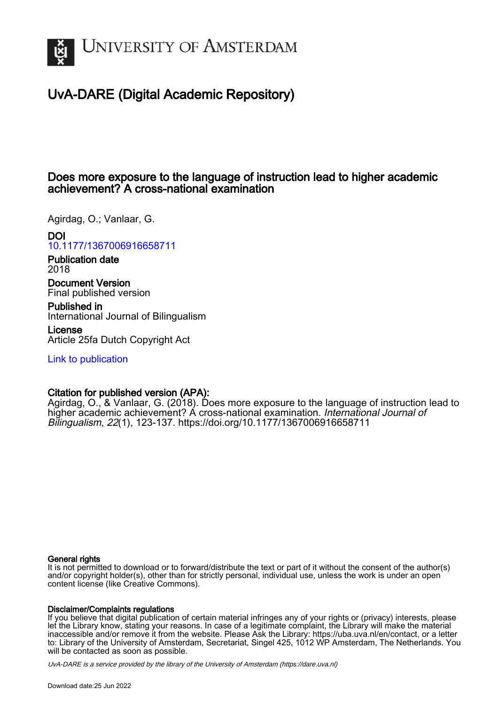

# UvA-DARE (Digital Academic Repository)

# Does more exposure to the language of instruction lead to higher academic achievement? A cross-national examination

Agirdag, O.; Vanlaar, G.

DOI

[10.1177/1367006916658711](https://doi.org/10.1177/1367006916658711)

Publication date 2018

Document Version Final published version

Published in International Journal of Bilingualism

License Article 25fa Dutch Copyright Act

[Link to publication](https://dare.uva.nl/personal/pure/en/publications/does-more-exposure-to-the-language-of-instruction-lead-to-higher-academic-achievement-a-crossnational-examination(ad1ed168-d7c3-4dd9-9d3a-b424cb8651e0).html)

# Citation for published version (APA):

Agirdag, O., & Vanlaar, G. (2018). Does more exposure to the language of instruction lead to higher academic achievement? A cross-national examination. International Journal of Bilingualism, 22(1), 123-137. <https://doi.org/10.1177/1367006916658711>

### General rights

It is not permitted to download or to forward/distribute the text or part of it without the consent of the author(s) and/or copyright holder(s), other than for strictly personal, individual use, unless the work is under an open content license (like Creative Commons).

## Disclaimer/Complaints regulations

If you believe that digital publication of certain material infringes any of your rights or (privacy) interests, please let the Library know, stating your reasons. In case of a legitimate complaint, the Library will make the material inaccessible and/or remove it from the website. Please Ask the Library: https://uba.uva.nl/en/contact, or a letter to: Library of the University of Amsterdam, Secretariat, Singel 425, 1012 WP Amsterdam, The Netherlands. You will be contacted as soon as possible.

UvA-DARE is a service provided by the library of the University of Amsterdam (http*s*://dare.uva.nl)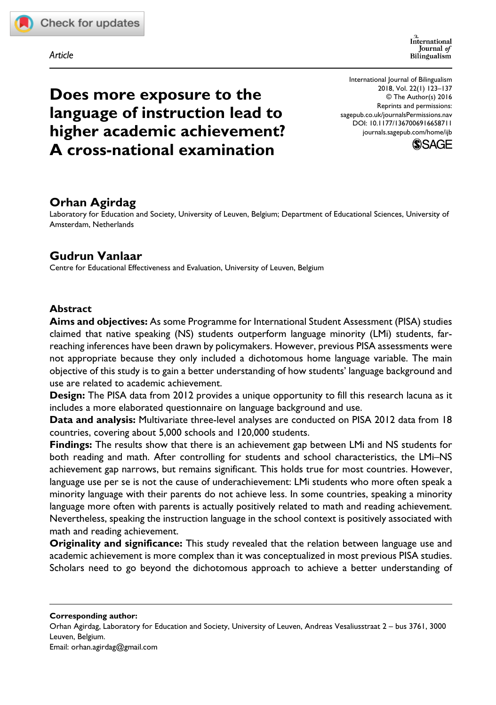

*Article*

# **Does more exposure to the language of instruction lead to higher academic achievement? A cross-national examination**

https://doi.org/10.1177/1367006916658711 DOI: 10.1177/1367006916658711 International Journal of Bilingualism 2018, Vol. 22(1) 123–137 © The Author(s) 2016 Reprints and permissions: [sagepub.co.uk/journalsPermissions.nav](https://uk.sagepub.com/en-gb/journals-permissions) [journals.sagepub.com/home/ijb](https://journals.sagepub.com/home/ijb)



# **Orhan Agirdag**

Laboratory for Education and Society, University of Leuven, Belgium; Department of Educational Sciences, University of Amsterdam, Netherlands

## **Gudrun Vanlaar**

Centre for Educational Effectiveness and Evaluation, University of Leuven, Belgium

### **Abstract**

**Aims and objectives:** As some Programme for International Student Assessment (PISA) studies claimed that native speaking (NS) students outperform language minority (LMi) students, farreaching inferences have been drawn by policymakers. However, previous PISA assessments were not appropriate because they only included a dichotomous home language variable. The main objective of this study is to gain a better understanding of how students' language background and use are related to academic achievement.

**Design:** The PISA data from 2012 provides a unique opportunity to fill this research lacuna as it includes a more elaborated questionnaire on language background and use.

**Data and analysis:** Multivariate three-level analyses are conducted on PISA 2012 data from 18 countries, covering about 5,000 schools and 120,000 students.

**Findings:** The results show that there is an achievement gap between LMi and NS students for both reading and math. After controlling for students and school characteristics, the LMi–NS achievement gap narrows, but remains significant. This holds true for most countries. However, language use per se is not the cause of underachievement: LMi students who more often speak a minority language with their parents do not achieve less. In some countries, speaking a minority language more often with parents is actually positively related to math and reading achievement. Nevertheless, speaking the instruction language in the school context is positively associated with math and reading achievement.

**Originality and significance:** This study revealed that the relation between language use and academic achievement is more complex than it was conceptualized in most previous PISA studies. Scholars need to go beyond the dichotomous approach to achieve a better understanding of

**Corresponding author:**

Orhan Agirdag, Laboratory for Education and Society, University of Leuven, Andreas Vesaliusstraat 2 – bus 3761, 3000 Leuven, Belgium. Email: [orhan.agirdag@gmail.com](mailto:orhan.agirdag@gmail.com)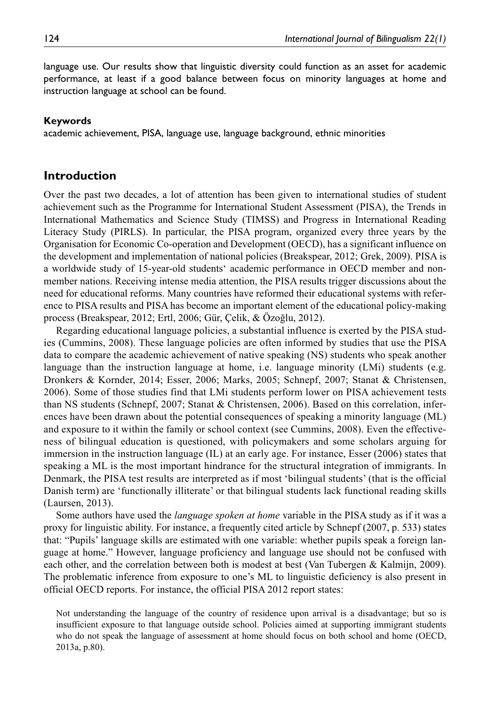language use. Our results show that linguistic diversity could function as an asset for academic performance, at least if a good balance between focus on minority languages at home and instruction language at school can be found.

#### **Keywords**

academic achievement, PISA, language use, language background, ethnic minorities

#### **Introduction**

Over the past two decades, a lot of attention has been given to international studies of student achievement such as the Programme for International Student Assessment (PISA), the Trends in International Mathematics and Science Study (TIMSS) and Progress in International Reading Literacy Study (PIRLS). In particular, the PISA program, organized every three years by the Organisation for Economic Co-operation and Development (OECD), has a significant influence on the development and implementation of national policies (Breakspear, 2012; Grek, 2009). PISA is a worldwide study of 15-year-old students' academic performance in OECD member and nonmember nations. Receiving intense media attention, the PISA results trigger discussions about the need for educational reforms. Many countries have reformed their educational systems with reference to PISA results and PISA has become an important element of the educational policy-making process (Breakspear, 2012; Ertl, 2006; Gür, Çelik, & Özoğlu, 2012).

Regarding educational language policies, a substantial influence is exerted by the PISA studies (Cummins, 2008). These language policies are often informed by studies that use the PISA data to compare the academic achievement of native speaking (NS) students who speak another language than the instruction language at home, i.e. language minority (LMi) students (e.g. Dronkers & Kornder, 2014; Esser, 2006; Marks, 2005; Schnepf, 2007; Stanat & Christensen, 2006). Some of those studies find that LMi students perform lower on PISA achievement tests than NS students (Schnepf, 2007; Stanat & Christensen, 2006). Based on this correlation, inferences have been drawn about the potential consequences of speaking a minority language (ML) and exposure to it within the family or school context (see Cummins, 2008). Even the effectiveness of bilingual education is questioned, with policymakers and some scholars arguing for immersion in the instruction language (IL) at an early age. For instance, Esser (2006) states that speaking a ML is the most important hindrance for the structural integration of immigrants. In Denmark, the PISA test results are interpreted as if most 'bilingual students' (that is the official Danish term) are 'functionally illiterate' or that bilingual students lack functional reading skills (Laursen, 2013).

Some authors have used the *language spoken at home* variable in the PISA study as if it was a proxy for linguistic ability. For instance, a frequently cited article by Schnepf (2007, p. 533) states that: "Pupils' language skills are estimated with one variable: whether pupils speak a foreign language at home." However, language proficiency and language use should not be confused with each other, and the correlation between both is modest at best (Van Tubergen & Kalmijn, 2009). The problematic inference from exposure to one's ML to linguistic deficiency is also present in official OECD reports. For instance, the official PISA 2012 report states:

Not understanding the language of the country of residence upon arrival is a disadvantage; but so is insufficient exposure to that language outside school. Policies aimed at supporting immigrant students who do not speak the language of assessment at home should focus on both school and home (OECD, 2013a, p.80).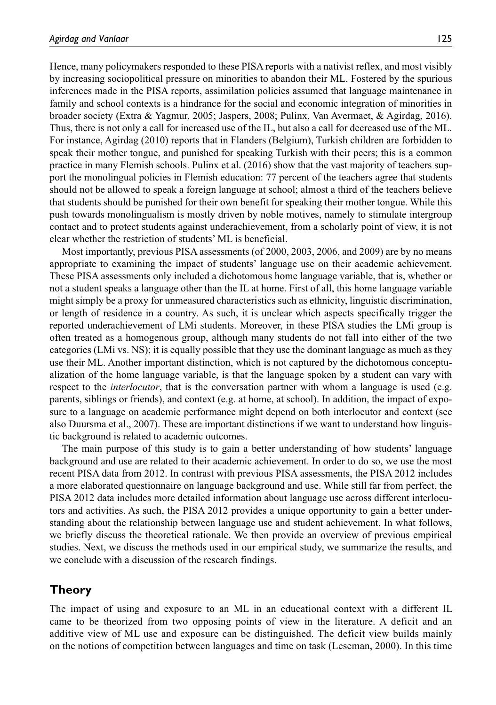Hence, many policymakers responded to these PISA reports with a nativist reflex, and most visibly by increasing sociopolitical pressure on minorities to abandon their ML. Fostered by the spurious inferences made in the PISA reports, assimilation policies assumed that language maintenance in family and school contexts is a hindrance for the social and economic integration of minorities in broader society (Extra & Yagmur, 2005; Jaspers, 2008; Pulinx, Van Avermaet, & Agirdag, 2016). Thus, there is not only a call for increased use of the IL, but also a call for decreased use of the ML. For instance, Agirdag (2010) reports that in Flanders (Belgium), Turkish children are forbidden to speak their mother tongue, and punished for speaking Turkish with their peers; this is a common practice in many Flemish schools. Pulinx et al. (2016) show that the vast majority of teachers support the monolingual policies in Flemish education: 77 percent of the teachers agree that students should not be allowed to speak a foreign language at school; almost a third of the teachers believe that students should be punished for their own benefit for speaking their mother tongue. While this push towards monolingualism is mostly driven by noble motives, namely to stimulate intergroup contact and to protect students against underachievement, from a scholarly point of view, it is not clear whether the restriction of students' ML is beneficial.

Most importantly, previous PISA assessments (of 2000, 2003, 2006, and 2009) are by no means appropriate to examining the impact of students' language use on their academic achievement. These PISA assessments only included a dichotomous home language variable, that is, whether or not a student speaks a language other than the IL at home. First of all, this home language variable might simply be a proxy for unmeasured characteristics such as ethnicity, linguistic discrimination, or length of residence in a country. As such, it is unclear which aspects specifically trigger the reported underachievement of LMi students. Moreover, in these PISA studies the LMi group is often treated as a homogenous group, although many students do not fall into either of the two categories (LMi vs. NS); it is equally possible that they use the dominant language as much as they use their ML. Another important distinction, which is not captured by the dichotomous conceptualization of the home language variable, is that the language spoken by a student can vary with respect to the *interlocutor*, that is the conversation partner with whom a language is used (e.g. parents, siblings or friends), and context (e.g. at home, at school). In addition, the impact of exposure to a language on academic performance might depend on both interlocutor and context (see also Duursma et al., 2007). These are important distinctions if we want to understand how linguistic background is related to academic outcomes.

The main purpose of this study is to gain a better understanding of how students' language background and use are related to their academic achievement. In order to do so, we use the most recent PISA data from 2012. In contrast with previous PISA assessments, the PISA 2012 includes a more elaborated questionnaire on language background and use. While still far from perfect, the PISA 2012 data includes more detailed information about language use across different interlocutors and activities. As such, the PISA 2012 provides a unique opportunity to gain a better understanding about the relationship between language use and student achievement. In what follows, we briefly discuss the theoretical rationale. We then provide an overview of previous empirical studies. Next, we discuss the methods used in our empirical study, we summarize the results, and we conclude with a discussion of the research findings.

## **Theory**

The impact of using and exposure to an ML in an educational context with a different IL came to be theorized from two opposing points of view in the literature. A deficit and an additive view of ML use and exposure can be distinguished. The deficit view builds mainly on the notions of competition between languages and time on task (Leseman, 2000). In this time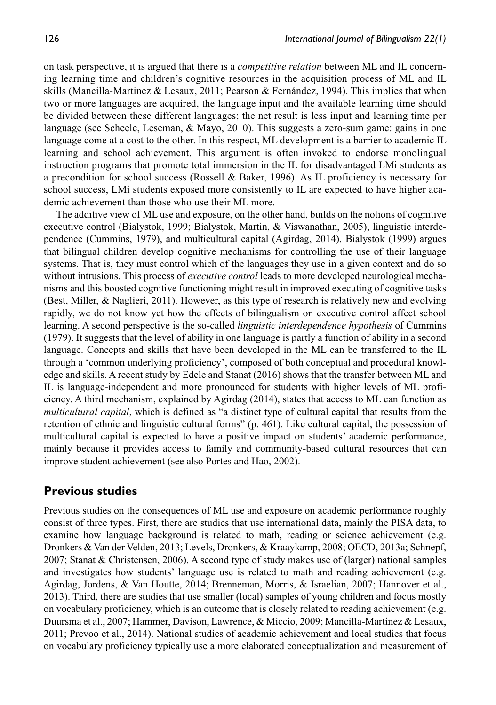on task perspective, it is argued that there is a *competitive relation* between ML and IL concerning learning time and children's cognitive resources in the acquisition process of ML and IL skills (Mancilla-Martinez & Lesaux, 2011; Pearson & Fernández, 1994). This implies that when two or more languages are acquired, the language input and the available learning time should be divided between these different languages; the net result is less input and learning time per language (see Scheele, Leseman, & Mayo, 2010). This suggests a zero-sum game: gains in one language come at a cost to the other. In this respect, ML development is a barrier to academic IL learning and school achievement. This argument is often invoked to endorse monolingual instruction programs that promote total immersion in the IL for disadvantaged LMi students as a precondition for school success (Rossell & Baker, 1996). As IL proficiency is necessary for school success, LMi students exposed more consistently to IL are expected to have higher academic achievement than those who use their ML more.

The additive view of ML use and exposure, on the other hand, builds on the notions of cognitive executive control (Bialystok, 1999; Bialystok, Martin, & Viswanathan, 2005), linguistic interdependence (Cummins, 1979), and multicultural capital (Agirdag, 2014). Bialystok (1999) argues that bilingual children develop cognitive mechanisms for controlling the use of their language systems. That is, they must control which of the languages they use in a given context and do so without intrusions. This process of *executive control* leads to more developed neurological mechanisms and this boosted cognitive functioning might result in improved executing of cognitive tasks (Best, Miller, & Naglieri, 2011). However, as this type of research is relatively new and evolving rapidly, we do not know yet how the effects of bilingualism on executive control affect school learning. A second perspective is the so-called *linguistic interdependence hypothesis* of Cummins (1979). It suggests that the level of ability in one language is partly a function of ability in a second language. Concepts and skills that have been developed in the ML can be transferred to the IL through a 'common underlying proficiency', composed of both conceptual and procedural knowledge and skills. A recent study by Edele and Stanat (2016) shows that the transfer between ML and IL is language-independent and more pronounced for students with higher levels of ML proficiency. A third mechanism, explained by Agirdag (2014), states that access to ML can function as *multicultural capital*, which is defined as "a distinct type of cultural capital that results from the retention of ethnic and linguistic cultural forms" (p. 461). Like cultural capital, the possession of multicultural capital is expected to have a positive impact on students' academic performance, mainly because it provides access to family and community-based cultural resources that can improve student achievement (see also Portes and Hao, 2002).

### **Previous studies**

Previous studies on the consequences of ML use and exposure on academic performance roughly consist of three types. First, there are studies that use international data, mainly the PISA data, to examine how language background is related to math, reading or science achievement (e.g. Dronkers & Van der Velden, 2013; Levels, Dronkers, & Kraaykamp, 2008; OECD, 2013a; Schnepf, 2007; Stanat & Christensen, 2006). A second type of study makes use of (larger) national samples and investigates how students' language use is related to math and reading achievement (e.g. Agirdag, Jordens, & Van Houtte, 2014; Brenneman, Morris, & Israelian, 2007; Hannover et al., 2013). Third, there are studies that use smaller (local) samples of young children and focus mostly on vocabulary proficiency, which is an outcome that is closely related to reading achievement (e.g. Duursma et al., 2007; Hammer, Davison, Lawrence, & Miccio, 2009; Mancilla-Martinez & Lesaux, 2011; Prevoo et al., 2014). National studies of academic achievement and local studies that focus on vocabulary proficiency typically use a more elaborated conceptualization and measurement of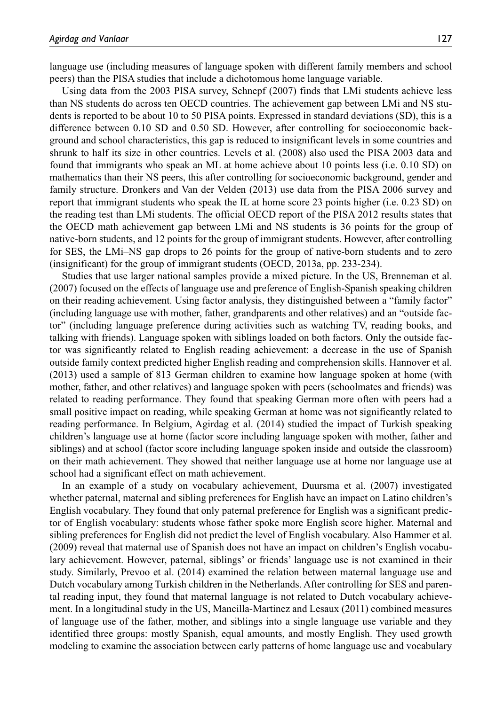language use (including measures of language spoken with different family members and school peers) than the PISA studies that include a dichotomous home language variable.

Using data from the 2003 PISA survey, Schnepf (2007) finds that LMi students achieve less than NS students do across ten OECD countries. The achievement gap between LMi and NS students is reported to be about 10 to 50 PISA points. Expressed in standard deviations (SD), this is a difference between 0.10 SD and 0.50 SD. However, after controlling for socioeconomic background and school characteristics, this gap is reduced to insignificant levels in some countries and shrunk to half its size in other countries. Levels et al. (2008) also used the PISA 2003 data and found that immigrants who speak an ML at home achieve about 10 points less (i.e. 0.10 SD) on mathematics than their NS peers, this after controlling for socioeconomic background, gender and family structure. Dronkers and Van der Velden (2013) use data from the PISA 2006 survey and report that immigrant students who speak the IL at home score 23 points higher (i.e. 0.23 SD) on the reading test than LMi students. The official OECD report of the PISA 2012 results states that the OECD math achievement gap between LMi and NS students is 36 points for the group of native-born students, and 12 points for the group of immigrant students. However, after controlling for SES, the LMi–NS gap drops to 26 points for the group of native-born students and to zero (insignificant) for the group of immigrant students (OECD, 2013a, pp. 233-234).

Studies that use larger national samples provide a mixed picture. In the US, Brenneman et al. (2007) focused on the effects of language use and preference of English-Spanish speaking children on their reading achievement. Using factor analysis, they distinguished between a "family factor" (including language use with mother, father, grandparents and other relatives) and an "outside factor" (including language preference during activities such as watching TV, reading books, and talking with friends). Language spoken with siblings loaded on both factors. Only the outside factor was significantly related to English reading achievement: a decrease in the use of Spanish outside family context predicted higher English reading and comprehension skills. Hannover et al. (2013) used a sample of 813 German children to examine how language spoken at home (with mother, father, and other relatives) and language spoken with peers (schoolmates and friends) was related to reading performance. They found that speaking German more often with peers had a small positive impact on reading, while speaking German at home was not significantly related to reading performance. In Belgium, Agirdag et al. (2014) studied the impact of Turkish speaking children's language use at home (factor score including language spoken with mother, father and siblings) and at school (factor score including language spoken inside and outside the classroom) on their math achievement. They showed that neither language use at home nor language use at school had a significant effect on math achievement.

In an example of a study on vocabulary achievement, Duursma et al. (2007) investigated whether paternal, maternal and sibling preferences for English have an impact on Latino children's English vocabulary. They found that only paternal preference for English was a significant predictor of English vocabulary: students whose father spoke more English score higher. Maternal and sibling preferences for English did not predict the level of English vocabulary. Also Hammer et al. (2009) reveal that maternal use of Spanish does not have an impact on children's English vocabulary achievement. However, paternal, siblings' or friends' language use is not examined in their study. Similarly, Prevoo et al. (2014) examined the relation between maternal language use and Dutch vocabulary among Turkish children in the Netherlands. After controlling for SES and parental reading input, they found that maternal language is not related to Dutch vocabulary achievement. In a longitudinal study in the US, Mancilla-Martinez and Lesaux (2011) combined measures of language use of the father, mother, and siblings into a single language use variable and they identified three groups: mostly Spanish, equal amounts, and mostly English. They used growth modeling to examine the association between early patterns of home language use and vocabulary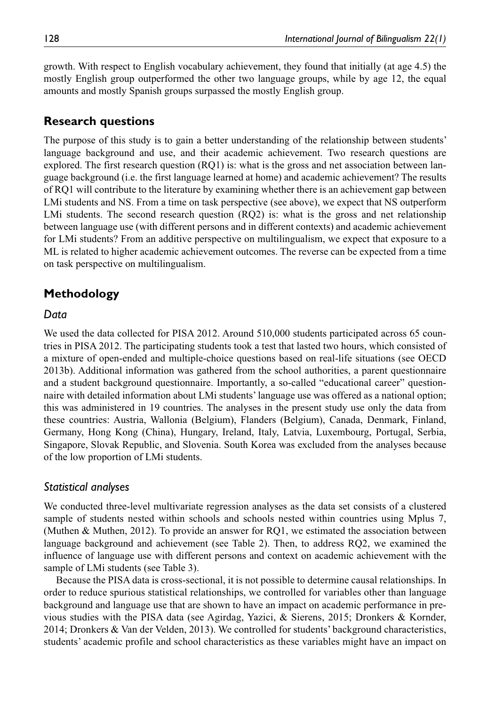growth. With respect to English vocabulary achievement, they found that initially (at age 4.5) the mostly English group outperformed the other two language groups, while by age 12, the equal amounts and mostly Spanish groups surpassed the mostly English group.

### **Research questions**

The purpose of this study is to gain a better understanding of the relationship between students' language background and use, and their academic achievement. Two research questions are explored. The first research question (RQ1) is: what is the gross and net association between language background (i.e. the first language learned at home) and academic achievement? The results of RQ1 will contribute to the literature by examining whether there is an achievement gap between LMi students and NS. From a time on task perspective (see above), we expect that NS outperform LMi students. The second research question (RQ2) is: what is the gross and net relationship between language use (with different persons and in different contexts) and academic achievement for LMi students? From an additive perspective on multilingualism, we expect that exposure to a ML is related to higher academic achievement outcomes. The reverse can be expected from a time on task perspective on multilingualism.

## **Methodology**

#### *Data*

We used the data collected for PISA 2012. Around 510,000 students participated across 65 countries in PISA 2012. The participating students took a test that lasted two hours, which consisted of a mixture of open-ended and multiple-choice questions based on real-life situations (see OECD 2013b). Additional information was gathered from the school authorities, a parent questionnaire and a student background questionnaire. Importantly, a so-called "educational career" questionnaire with detailed information about LMi students' language use was offered as a national option; this was administered in 19 countries. The analyses in the present study use only the data from these countries: Austria, Wallonia (Belgium), Flanders (Belgium), Canada, Denmark, Finland, Germany, Hong Kong (China), Hungary, Ireland, Italy, Latvia, Luxembourg, Portugal, Serbia, Singapore, Slovak Republic, and Slovenia. South Korea was excluded from the analyses because of the low proportion of LMi students.

#### *Statistical analyses*

We conducted three-level multivariate regression analyses as the data set consists of a clustered sample of students nested within schools and schools nested within countries using Mplus 7, (Muthen & Muthen, 2012). To provide an answer for RQ1, we estimated the association between language background and achievement (see Table 2). Then, to address RQ2, we examined the influence of language use with different persons and context on academic achievement with the sample of LMi students (see Table 3).

Because the PISA data is cross-sectional, it is not possible to determine causal relationships. In order to reduce spurious statistical relationships, we controlled for variables other than language background and language use that are shown to have an impact on academic performance in previous studies with the PISA data (see Agirdag, Yazici, & Sierens, 2015; Dronkers & Kornder, 2014; Dronkers & Van der Velden, 2013). We controlled for students' background characteristics, students' academic profile and school characteristics as these variables might have an impact on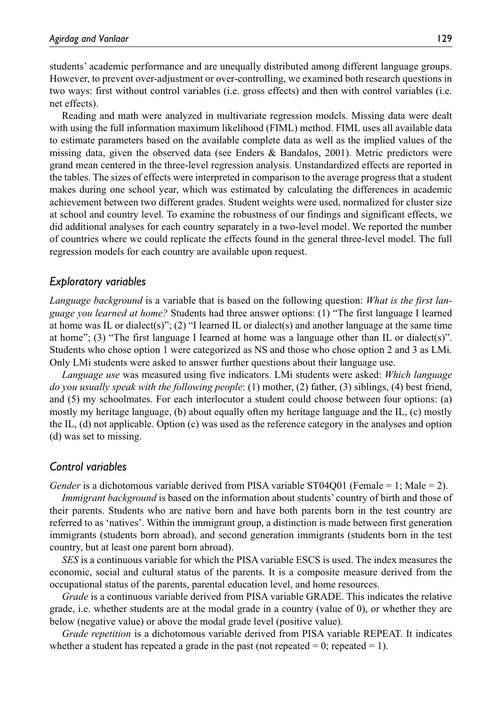students' academic performance and are unequally distributed among different language groups. However, to prevent over-adjustment or over-controlling, we examined both research questions in two ways: first without control variables (i.e. gross effects) and then with control variables (i.e. net effects).

Reading and math were analyzed in multivariate regression models. Missing data were dealt with using the full information maximum likelihood (FIML) method. FIML uses all available data to estimate parameters based on the available complete data as well as the implied values of the missing data, given the observed data (see Enders & Bandalos, 2001). Metric predictors were grand mean centered in the three-level regression analysis. Unstandardized effects are reported in the tables. The sizes of effects were interpreted in comparison to the average progress that a student makes during one school year, which was estimated by calculating the differences in academic achievement between two different grades. Student weights were used, normalized for cluster size at school and country level. To examine the robustness of our findings and significant effects, we did additional analyses for each country separately in a two-level model. We reported the number of countries where we could replicate the effects found in the general three-level model. The full regression models for each country are available upon request.

#### *Exploratory variables*

*Language background* is a variable that is based on the following question: *What is the first language you learned at home?* Students had three answer options: (1) "The first language I learned at home was IL or dialect(s)"; (2) "I learned IL or dialect(s) and another language at the same time at home"; (3) "The first language I learned at home was a language other than IL or dialect(s)". Students who chose option 1 were categorized as NS and those who chose option 2 and 3 as LMi. Only LMi students were asked to answer further questions about their language use.

*Language use* was measured using five indicators. LMi students were asked: *Which language do you usually speak with the following people*: (1) mother, (2) father, (3) siblings, (4) best friend, and (5) my schoolmates. For each interlocutor a student could choose between four options: (a) mostly my heritage language, (b) about equally often my heritage language and the IL, (c) mostly the IL, (d) not applicable. Option (c) was used as the reference category in the analyses and option (d) was set to missing.

#### *Control variables*

*Gender* is a dichotomous variable derived from PISA variable ST04Q01 (Female = 1; Male = 2).

*Immigrant background* is based on the information about students' country of birth and those of their parents. Students who are native born and have both parents born in the test country are referred to as 'natives'. Within the immigrant group, a distinction is made between first generation immigrants (students born abroad), and second generation immigrants (students born in the test country, but at least one parent born abroad).

*SES* is a continuous variable for which the PISA variable ESCS is used. The index measures the economic, social and cultural status of the parents. It is a composite measure derived from the occupational status of the parents, parental education level, and home resources.

*Grade* is a continuous variable derived from PISA variable GRADE. This indicates the relative grade, i.e. whether students are at the modal grade in a country (value of 0), or whether they are below (negative value) or above the modal grade level (positive value).

*Grade repetition* is a dichotomous variable derived from PISA variable REPEAT. It indicates whether a student has repeated a grade in the past (not repeated  $= 0$ ; repeated  $= 1$ ).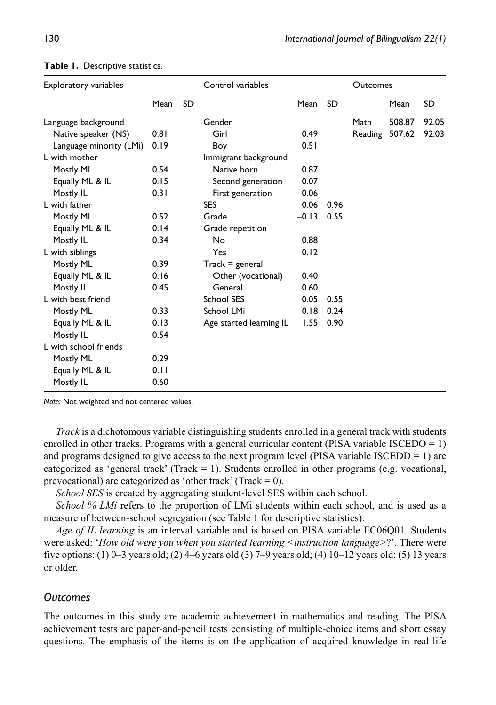| <b>Exploratory variables</b> |      | Control variables |                         |         | Outcomes  |         |        |           |
|------------------------------|------|-------------------|-------------------------|---------|-----------|---------|--------|-----------|
|                              | Mean | <b>SD</b>         |                         | Mean    | <b>SD</b> |         | Mean   | <b>SD</b> |
| Language background          |      | Gender            |                         |         | Math      | 508.87  | 92.05  |           |
| Native speaker (NS)          | 0.81 |                   | Girl                    | 0.49    |           | Reading | 507.62 | 92.03     |
| Language minority (LMi)      | 0.19 |                   | Boy                     | 0.51    |           |         |        |           |
| L with mother                |      |                   | Immigrant background    |         |           |         |        |           |
| Mostly ML                    | 0.54 |                   | Native born             | 0.87    |           |         |        |           |
| Equally ML & IL              | 0.15 |                   | Second generation       | 0.07    |           |         |        |           |
| Mostly IL                    | 0.31 |                   | First generation        | 0.06    |           |         |        |           |
| L with father                |      |                   | <b>SES</b>              | 0.06    | 0.96      |         |        |           |
| Mostly ML                    | 0.52 |                   | Grade                   | $-0.13$ | 0.55      |         |        |           |
| Equally ML & IL              | 0.14 |                   | Grade repetition        |         |           |         |        |           |
| Mostly IL                    | 0.34 |                   | No                      | 0.88    |           |         |        |           |
| L with siblings              |      |                   | Yes                     | 0.12    |           |         |        |           |
| Mostly ML                    | 0.39 |                   | $Track = general$       |         |           |         |        |           |
| Equally ML & IL              | 0.16 |                   | Other (vocational)      | 0.40    |           |         |        |           |
| Mostly IL                    | 0.45 |                   | General                 | 0.60    |           |         |        |           |
| L with best friend           |      |                   | <b>School SES</b>       | 0.05    | 0.55      |         |        |           |
| Mostly ML                    | 0.33 |                   | School LMi              | 0.18    | 0.24      |         |        |           |
| Equally ML & IL              | 0.13 |                   | Age started learning IL | 1.55    | 0.90      |         |        |           |
| Mostly IL                    | 0.54 |                   |                         |         |           |         |        |           |
| L with school friends        |      |                   |                         |         |           |         |        |           |
| Mostly ML                    | 0.29 |                   |                         |         |           |         |        |           |
| Equally ML & IL              | 0.11 |                   |                         |         |           |         |        |           |
| Mostly IL                    | 0.60 |                   |                         |         |           |         |        |           |

#### **Table 1.** Descriptive statistics.

*Note:* Not weighted and not centered values.

*Track* is a dichotomous variable distinguishing students enrolled in a general track with students enrolled in other tracks. Programs with a general curricular content (PISA variable ISCEDO = 1) and programs designed to give access to the next program level (PISA variable ISCEDD  $= 1$ ) are categorized as 'general track' (Track  $= 1$ ). Students enrolled in other programs (e.g. vocational, prevocational) are categorized as 'other track' (Track  $= 0$ ).

*School SES* is created by aggregating student-level SES within each school.

*School % LMi* refers to the proportion of LMi students within each school, and is used as a measure of between-school segregation (see Table 1 for descriptive statistics).

*Age of IL learning* is an interval variable and is based on PISA variable EC06Q01. Students were asked: '*How old were you when you started learning <instruction language>*?'. There were five options: (1) 0–3 years old; (2) 4–6 years old (3) 7–9 years old; (4) 10–12 years old; (5) 13 years or older.

#### *Outcomes*

The outcomes in this study are academic achievement in mathematics and reading. The PISA achievement tests are paper-and-pencil tests consisting of multiple-choice items and short essay questions. The emphasis of the items is on the application of acquired knowledge in real-life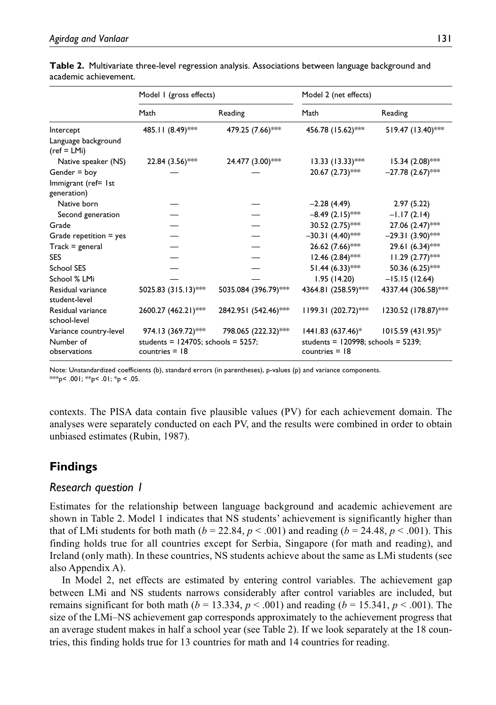|                                                     | Model I (gross effects)                                                            |                      | Model 2 (net effects)                                                               |                     |  |  |
|-----------------------------------------------------|------------------------------------------------------------------------------------|----------------------|-------------------------------------------------------------------------------------|---------------------|--|--|
|                                                     | Math                                                                               | Reading              | Math                                                                                | Reading             |  |  |
| Intercept                                           | 485.11 (8.49)***                                                                   | 479.25 (7.66)***     | 456.78 (15.62)***                                                                   | 519.47 (13.40)***   |  |  |
| Language background<br>$(ref = LMi)$                |                                                                                    |                      |                                                                                     |                     |  |  |
| Native speaker (NS)                                 | 22.84 (3.56)***                                                                    | 24.477 (3.00)***     | $13.33$ (13.33)***                                                                  | $15.34 (2.08)$ ***  |  |  |
| Gender = boy                                        |                                                                                    |                      | $20.67$ $(2.73)$ ***                                                                | $-27.78(2.67)$ ***  |  |  |
| Immigrant (ref= 1st<br>generation)                  |                                                                                    |                      |                                                                                     |                     |  |  |
| Native born                                         |                                                                                    |                      | $-2.28(4.49)$                                                                       | 2.97(5.22)          |  |  |
| Second generation                                   |                                                                                    |                      | $-8.49$ (2.15)***                                                                   | $-1.17(2.14)$       |  |  |
| Grade                                               |                                                                                    |                      | 30.52 (2.75)***                                                                     | 27.06 (2.47)***     |  |  |
| Grade repetition $=$ yes                            |                                                                                    |                      | $-30.31(4.40)$ **                                                                   | $-29.31(3.90)$ ***  |  |  |
| $Track = general$                                   |                                                                                    |                      | 26.62 (7.66)***                                                                     | 29.61 (6.34)***     |  |  |
| <b>SES</b>                                          |                                                                                    |                      | $12.46$ (2.84)***                                                                   | $11.29 (2.77)$ **   |  |  |
| School SES                                          |                                                                                    |                      | $51.44 (6.33)$ **                                                                   | 50.36 (6.25)***     |  |  |
| School % LMi                                        |                                                                                    |                      | 1.95(14.20)                                                                         | $-15.15(12.64)$     |  |  |
| Residual variance<br>student-level                  | 5025.83 (315.13)***                                                                | 5035.084 (396.79)*** | 4364.81 (258.59)***                                                                 | 4337.44 (306.58)*** |  |  |
| Residual variance<br>school-level                   | 2600.27 (462.21)***                                                                | 2842.951 (542.46)*** | $1199.31 (202.72)$ ***                                                              | 1230.52 (178.87)*** |  |  |
| Variance country-level<br>Number of<br>observations | 974.13 (369.72)***<br>students = $124705$ ; schools = $5257$ ;<br>countries $=$ 18 | 798.065 (222.32)***  | $1441.83(637.46)^*$<br>students = $120998$ ; schools = $5239$ ;<br>countries $=$ 18 | $1015.59(431.95)$ * |  |  |

**Table 2.** Multivariate three-level regression analysis. Associations between language background and academic achievement.

Note: Unstandardized coefficients (b), standard errors (in parentheses), p-values (p) and variance components. \*\*\*p < .001; \*\*p < .01; \*p < .05.

contexts. The PISA data contain five plausible values (PV) for each achievement domain. The analyses were separately conducted on each PV, and the results were combined in order to obtain unbiased estimates (Rubin, 1987).

# **Findings**

## *Research question 1*

Estimates for the relationship between language background and academic achievement are shown in Table 2. Model 1 indicates that NS students' achievement is significantly higher than that of LMi students for both math ( $b = 22.84$ ,  $p < .001$ ) and reading ( $b = 24.48$ ,  $p < .001$ ). This finding holds true for all countries except for Serbia, Singapore (for math and reading), and Ireland (only math). In these countries, NS students achieve about the same as LMi students (see also Appendix A).

In Model 2, net effects are estimated by entering control variables. The achievement gap between LMi and NS students narrows considerably after control variables are included, but remains significant for both math ( $b = 13.334$ ,  $p < .001$ ) and reading ( $b = 15.341$ ,  $p < .001$ ). The size of the LMi–NS achievement gap corresponds approximately to the achievement progress that an average student makes in half a school year (see Table 2). If we look separately at the 18 countries, this finding holds true for 13 countries for math and 14 countries for reading.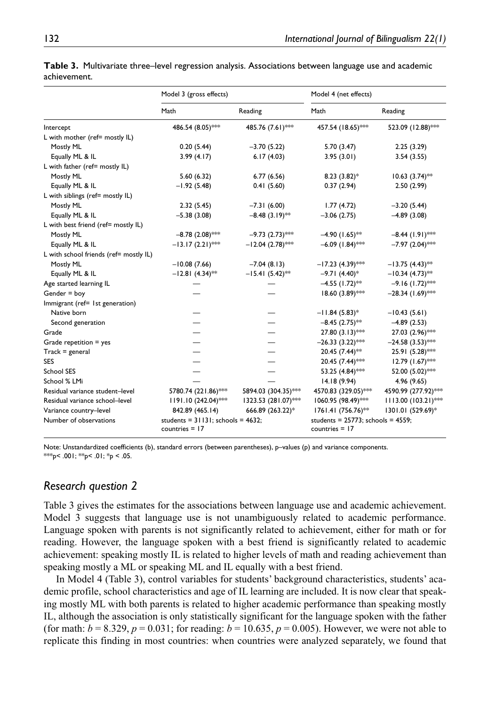|                                        | Model 3 (gross effects)                 |                     | Model 4 (net effects)                   |                       |  |  |
|----------------------------------------|-----------------------------------------|---------------------|-----------------------------------------|-----------------------|--|--|
|                                        | Math                                    | Reading             | Math                                    | Reading               |  |  |
| Intercept                              | 486.54 (8.05)***                        | 485.76 (7.61)***    | 457.54 (18.65)***                       | 523.09 (12.88)***     |  |  |
| L with mother (ref= mostly IL)         |                                         |                     |                                         |                       |  |  |
| Mostly ML                              | 0.20(5.44)                              | $-3.70(5.22)$       | 5.70 (3.47)                             | 2.25(3.29)            |  |  |
| Equally ML & IL                        | 3.99(4.17)                              | 6.17(4.03)          | 3.95(3.01)                              | 3.54(3.55)            |  |  |
| L with father (ref= mostly IL)         |                                         |                     |                                         |                       |  |  |
| Mostly ML                              | 5.60(6.32)                              | 6.77(6.56)          | $8.23(3.82)$ *                          | $10.63$ $(3.74)$ **   |  |  |
| Equally ML & IL                        | $-1.92(5.48)$                           | 0.41(5.60)          | 0.37(2.94)                              | 2.50(2.99)            |  |  |
| L with siblings (ref= mostly IL)       |                                         |                     |                                         |                       |  |  |
| Mostly ML                              | 2.32(5.45)                              | $-7.31(6.00)$       | 1.77(4.72)                              | $-3.20(5.44)$         |  |  |
| Equally ML & IL                        | $-5.38(3.08)$                           | $-8.48(3.19)$ **    | $-3.06(2.75)$                           | $-4.89(3.08)$         |  |  |
| L with best friend (ref= mostly IL)    |                                         |                     |                                         |                       |  |  |
| Mostly ML                              | $-8.78$ (2.08)***                       | $-9.73$ (2.73)***   | $-4.90(1.65)$ **                        | $-8.44$ (1.91)***     |  |  |
| Equally ML & IL                        | $-13.17(2.21)$ ***                      | $-12.04(2.78)$ **   | $-6.09$ (1.84)***                       | $-7.97$ (2.04)***     |  |  |
| L with school friends (ref= mostly IL) |                                         |                     |                                         |                       |  |  |
| Mostly ML                              | $-10.08(7.66)$                          | $-7.04(8.13)$       | $-17.23(4.39)$ ***                      | $-13.75(4.43)$ **     |  |  |
| Equally ML & IL                        | $-12.81(4.34)$ **                       | $-15.41(5.42)$ **   | $-9.71(4.40)$ *                         | $-10.34(4.73)$ **     |  |  |
| Age started learning IL                |                                         |                     | $-4.55$ (1.72) <sup>**</sup>            | $-9.16$ (1.72)***     |  |  |
| Gender $=$ boy                         |                                         |                     | 18.60 (3.89)***                         | $-28.34(1.69)$ **     |  |  |
| Immigrant (ref= 1st generation)        |                                         |                     |                                         |                       |  |  |
| Native born                            |                                         |                     | $-11.84(5.83)*$                         | $-10.43(5.61)$        |  |  |
| Second generation                      |                                         |                     | $-8.45$ (2.75)**                        | $-4.89(2.53)$         |  |  |
| Grade                                  |                                         |                     | $27.80(3.13)$ ***                       | 27.03 (2.96)***       |  |  |
| Grade repetition $=$ yes               |                                         |                     | $-26.33(3.22)$ **                       | $-24.58(3.53)$ **     |  |  |
| $Track = general$                      |                                         |                     | 20.45 (7.44)**                          | 25.91 (5.28)***       |  |  |
| <b>SES</b>                             |                                         |                     | 20.45 (7.44)***                         | 12.79 (1.67)***       |  |  |
| <b>School SES</b>                      |                                         |                     | 53.25 (4.84)***                         | 52.00 (5.02)***       |  |  |
| School % LMi                           |                                         |                     | 14.18(9.94)                             | 4.96 (9.65)           |  |  |
| Residual variance student-level        | 5780.74 (221.86)***                     | 5894.03 (304.35)*** | 4570.83 (329.05)***                     | 4590.99 (277.92)***   |  |  |
| Residual variance school-level         | $1191.10(242.04)$ **                    | 1323.53 (281.07)*** | 1060.95 (98.49)***                      | $1113.00 (103.21)$ ** |  |  |
| Variance country-level                 | 842.89 (465.14)                         | 666.89 (263.22)*    | 1761.41 (756.76)**                      | 1301.01 (529.69)*     |  |  |
| Number of observations                 | students = $31131$ ; schools = $4632$ ; |                     | students = $25773$ ; schools = $4559$ ; |                       |  |  |
|                                        | countries $=$ 17                        |                     | countries $=$ 17                        |                       |  |  |

**Table 3.** Multivariate three–level regression analysis. Associations between language use and academic achievement.

Note: Unstandardized coefficients (b), standard errors (between parentheses), p–values (p) and variance components. \*\*\*p< .001; \*\*p< .01; \*p < .05.

### *Research question 2*

Table 3 gives the estimates for the associations between language use and academic achievement. Model 3 suggests that language use is not unambiguously related to academic performance. Language spoken with parents is not significantly related to achievement, either for math or for reading. However, the language spoken with a best friend is significantly related to academic achievement: speaking mostly IL is related to higher levels of math and reading achievement than speaking mostly a ML or speaking ML and IL equally with a best friend.

In Model 4 (Table 3), control variables for students' background characteristics, students' academic profile, school characteristics and age of IL learning are included. It is now clear that speaking mostly ML with both parents is related to higher academic performance than speaking mostly IL, although the association is only statistically significant for the language spoken with the father (for math:  $b = 8.329$ ,  $p = 0.031$ ; for reading:  $b = 10.635$ ,  $p = 0.005$ ). However, we were not able to replicate this finding in most countries: when countries were analyzed separately, we found that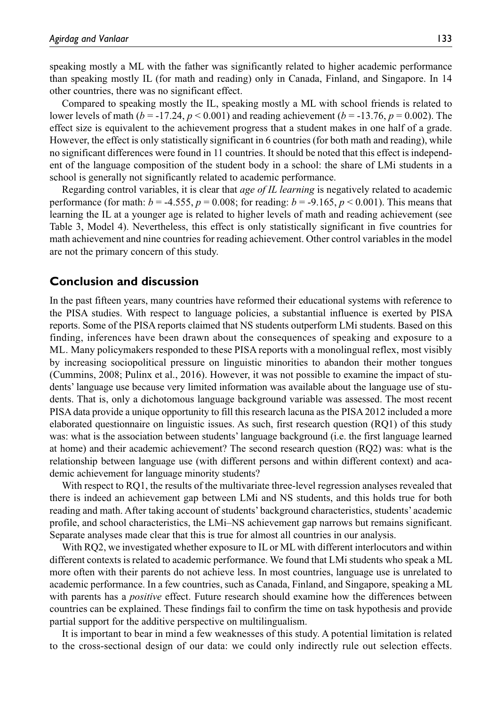speaking mostly a ML with the father was significantly related to higher academic performance than speaking mostly IL (for math and reading) only in Canada, Finland, and Singapore. In 14 other countries, there was no significant effect.

Compared to speaking mostly the IL, speaking mostly a ML with school friends is related to lower levels of math ( $b = -17.24$ ,  $p < 0.001$ ) and reading achievement ( $b = -13.76$ ,  $p = 0.002$ ). The effect size is equivalent to the achievement progress that a student makes in one half of a grade. However, the effect is only statistically significant in 6 countries (for both math and reading), while no significant differences were found in 11 countries. It should be noted that this effect is independent of the language composition of the student body in a school: the share of LMi students in a school is generally not significantly related to academic performance.

Regarding control variables, it is clear that *age of IL learning* is negatively related to academic performance (for math:  $b = -4.555$ ,  $p = 0.008$ ; for reading:  $b = -9.165$ ,  $p < 0.001$ ). This means that learning the IL at a younger age is related to higher levels of math and reading achievement (see Table 3, Model 4). Nevertheless, this effect is only statistically significant in five countries for math achievement and nine countries for reading achievement. Other control variables in the model are not the primary concern of this study.

#### **Conclusion and discussion**

In the past fifteen years, many countries have reformed their educational systems with reference to the PISA studies. With respect to language policies, a substantial influence is exerted by PISA reports. Some of the PISA reports claimed that NS students outperform LMi students. Based on this finding, inferences have been drawn about the consequences of speaking and exposure to a ML. Many policymakers responded to these PISA reports with a monolingual reflex, most visibly by increasing sociopolitical pressure on linguistic minorities to abandon their mother tongues (Cummins, 2008; Pulinx et al., 2016). However, it was not possible to examine the impact of students' language use because very limited information was available about the language use of students. That is, only a dichotomous language background variable was assessed. The most recent PISA data provide a unique opportunity to fill this research lacuna as the PISA 2012 included a more elaborated questionnaire on linguistic issues. As such, first research question (RQ1) of this study was: what is the association between students' language background (i.e. the first language learned at home) and their academic achievement? The second research question (RQ2) was: what is the relationship between language use (with different persons and within different context) and academic achievement for language minority students?

With respect to RQ1, the results of the multivariate three-level regression analyses revealed that there is indeed an achievement gap between LMi and NS students, and this holds true for both reading and math. After taking account of students' background characteristics, students' academic profile, and school characteristics, the LMi–NS achievement gap narrows but remains significant. Separate analyses made clear that this is true for almost all countries in our analysis.

With RQ2, we investigated whether exposure to IL or ML with different interlocutors and within different contexts is related to academic performance. We found that LMi students who speak a ML more often with their parents do not achieve less. In most countries, language use is unrelated to academic performance. In a few countries, such as Canada, Finland, and Singapore, speaking a ML with parents has a *positive* effect. Future research should examine how the differences between countries can be explained. These findings fail to confirm the time on task hypothesis and provide partial support for the additive perspective on multilingualism.

It is important to bear in mind a few weaknesses of this study. A potential limitation is related to the cross-sectional design of our data: we could only indirectly rule out selection effects.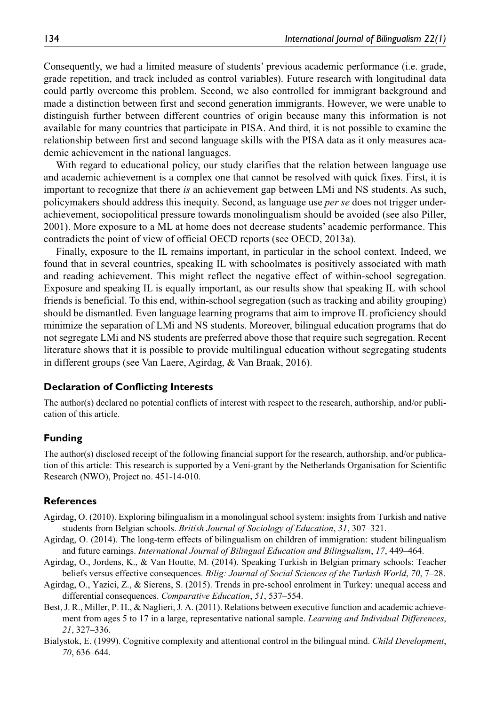Consequently, we had a limited measure of students' previous academic performance (i.e. grade, grade repetition, and track included as control variables). Future research with longitudinal data could partly overcome this problem. Second, we also controlled for immigrant background and made a distinction between first and second generation immigrants. However, we were unable to distinguish further between different countries of origin because many this information is not available for many countries that participate in PISA. And third, it is not possible to examine the relationship between first and second language skills with the PISA data as it only measures academic achievement in the national languages.

With regard to educational policy, our study clarifies that the relation between language use and academic achievement is a complex one that cannot be resolved with quick fixes. First, it is important to recognize that there *is* an achievement gap between LMi and NS students. As such, policymakers should address this inequity. Second, as language use *per se* does not trigger underachievement, sociopolitical pressure towards monolingualism should be avoided (see also Piller, 2001). More exposure to a ML at home does not decrease students' academic performance. This contradicts the point of view of official OECD reports (see OECD, 2013a).

Finally, exposure to the IL remains important, in particular in the school context. Indeed, we found that in several countries, speaking IL with schoolmates is positively associated with math and reading achievement. This might reflect the negative effect of within-school segregation. Exposure and speaking IL is equally important, as our results show that speaking IL with school friends is beneficial. To this end, within-school segregation (such as tracking and ability grouping) should be dismantled. Even language learning programs that aim to improve IL proficiency should minimize the separation of LMi and NS students. Moreover, bilingual education programs that do not segregate LMi and NS students are preferred above those that require such segregation. Recent literature shows that it is possible to provide multilingual education without segregating students in different groups (see Van Laere, Agirdag, & Van Braak, 2016).

#### **Declaration of Conflicting Interests**

The author(s) declared no potential conflicts of interest with respect to the research, authorship, and/or publication of this article.

#### **Funding**

The author(s) disclosed receipt of the following financial support for the research, authorship, and/or publication of this article: This research is supported by a Veni-grant by the Netherlands Organisation for Scientific Research (NWO), Project no. 451-14-010.

#### **References**

- Agirdag, O. (2010). Exploring bilingualism in a monolingual school system: insights from Turkish and native students from Belgian schools. *British Journal of Sociology of Education*, *31*, 307–321.
- Agirdag, O. (2014). The long-term effects of bilingualism on children of immigration: student bilingualism and future earnings. *International Journal of Bilingual Education and Bilingualism*, *17*, 449–464.
- Agirdag, O., Jordens, K., & Van Houtte, M. (2014). Speaking Turkish in Belgian primary schools: Teacher beliefs versus effective consequences. *Bilig: Journal of Social Sciences of the Turkish World*, *70*, 7–28.
- Agirdag, O., Yazici, Z., & Sierens, S. (2015). Trends in pre-school enrolment in Turkey: unequal access and differential consequences. *Comparative Education*, *51*, 537–554.
- Best, J. R., Miller, P. H., & Naglieri, J. A. (2011). Relations between executive function and academic achievement from ages 5 to 17 in a large, representative national sample. *Learning and Individual Differences*, *21*, 327–336.
- Bialystok, E. (1999). Cognitive complexity and attentional control in the bilingual mind. *Child Development*, *70*, 636–644.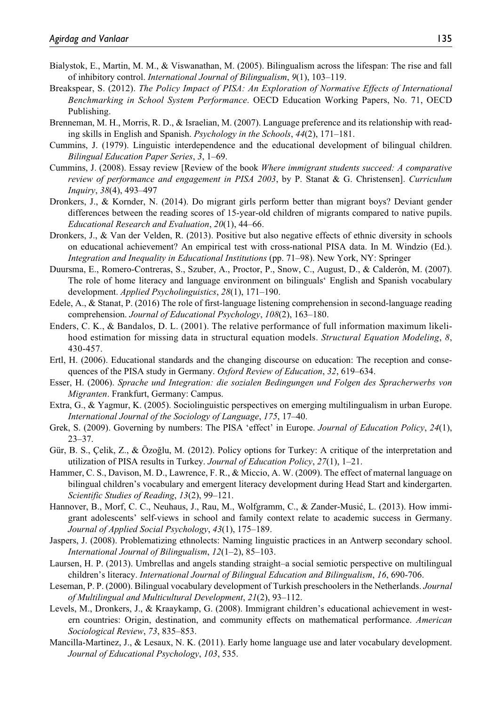- Bialystok, E., Martin, M. M., & Viswanathan, M. (2005). Bilingualism across the lifespan: The rise and fall of inhibitory control. *International Journal of Bilingualism*, *9*(1), 103–119.
- Breakspear, S. (2012). *The Policy Impact of PISA: An Exploration of Normative Effects of International Benchmarking in School System Performance*. OECD Education Working Papers, No. 71, OECD Publishing.
- Brenneman, M. H., Morris, R. D., & Israelian, M. (2007). Language preference and its relationship with reading skills in English and Spanish. *Psychology in the Schools*, *44*(2), 171–181.
- Cummins, J. (1979). Linguistic interdependence and the educational development of bilingual children. *Bilingual Education Paper Series*, *3*, 1–69.
- Cummins, J. (2008). Essay review [Review of the book *Where immigrant students succeed: A comparative review of performance and engagement in PISA 2003*, by P. Stanat & G. Christensen]. *Curriculum Inquiry*, *38*(4), 493–497
- Dronkers, J., & Kornder, N. (2014). Do migrant girls perform better than migrant boys? Deviant gender differences between the reading scores of 15-year-old children of migrants compared to native pupils. *Educational Research and Evaluation*, *20*(1), 44–66.
- Dronkers, J., & Van der Velden, R. (2013). Positive but also negative effects of ethnic diversity in schools on educational achievement? An empirical test with cross-national PISA data. In M. Windzio (Ed.). *Integration and Inequality in Educational Institutions* (pp. 71–98). New York, NY: Springer
- Duursma, E., Romero-Contreras, S., Szuber, A., Proctor, P., Snow, C., August, D., & Calderón, M. (2007). The role of home literacy and language environment on bilinguals' English and Spanish vocabulary development. *Applied Psycholinguistics*, *28*(1), 171–190.
- Edele, A., & Stanat, P. (2016) The role of first-language listening comprehension in second-language reading comprehension. *Journal of Educational Psychology*, *108*(2), 163–180.
- Enders, C. K., & Bandalos, D. L. (2001). The relative performance of full information maximum likelihood estimation for missing data in structural equation models. *Structural Equation Modeling*, *8*, 430-457.
- Ertl, H. (2006). Educational standards and the changing discourse on education: The reception and consequences of the PISA study in Germany. *Oxford Review of Education*, *32*, 619–634.
- Esser, H. (2006). *Sprache und Integration: die sozialen Bedingungen und Folgen des Spracherwerbs von Migranten*. Frankfurt, Germany: Campus.
- Extra, G., & Yagmur, K. (2005). Sociolinguistic perspectives on emerging multilingualism in urban Europe. *International Journal of the Sociology of Language*, *175*, 17–40.
- Grek, S. (2009). Governing by numbers: The PISA 'effect' in Europe. *Journal of Education Policy*, *24*(1), 23–37.
- Gür, B. S., Çelik, Z., & Özoğlu, M. (2012). Policy options for Turkey: A critique of the interpretation and utilization of PISA results in Turkey. *Journal of Education Policy*, *27*(1), 1–21.
- Hammer, C. S., Davison, M. D., Lawrence, F. R., & Miccio, A. W. (2009). The effect of maternal language on bilingual children's vocabulary and emergent literacy development during Head Start and kindergarten. *Scientific Studies of Reading*, *13*(2), 99–121.
- Hannover, B., Morf, C. C., Neuhaus, J., Rau, M., Wolfgramm, C., & Zander-Musić, L. (2013). How immigrant adolescents' self-views in school and family context relate to academic success in Germany. *Journal of Applied Social Psychology*, *43*(1), 175–189.
- Jaspers, J. (2008). Problematizing ethnolects: Naming linguistic practices in an Antwerp secondary school. *International Journal of Bilingualism*, *12*(1–2), 85–103.
- Laursen, H. P. (2013). Umbrellas and angels standing straight–a social semiotic perspective on multilingual children's literacy. *International Journal of Bilingual Education and Bilingualism*, *16*, 690-706.
- Leseman, P. P. (2000). Bilingual vocabulary development of Turkish preschoolers in the Netherlands. *Journal of Multilingual and Multicultural Development*, *21*(2), 93–112.
- Levels, M., Dronkers, J., & Kraaykamp, G. (2008). Immigrant children's educational achievement in western countries: Origin, destination, and community effects on mathematical performance. *American Sociological Review*, *73*, 835–853.
- Mancilla-Martinez, J., & Lesaux, N. K. (2011). Early home language use and later vocabulary development. *Journal of Educational Psychology*, *103*, 535.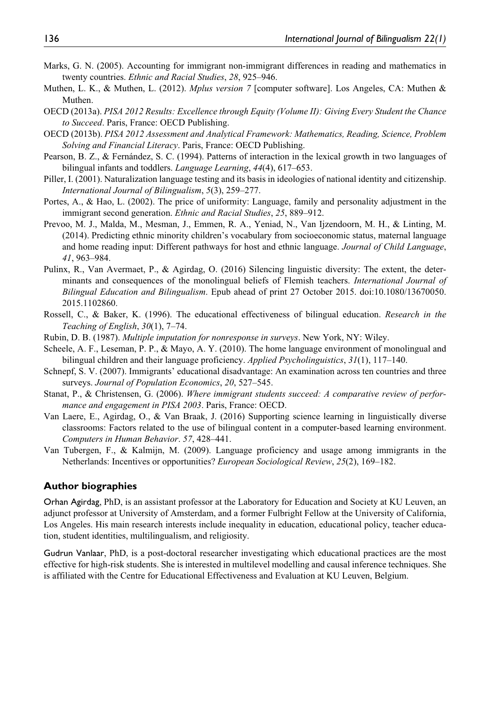- Marks, G. N. (2005). Accounting for immigrant non-immigrant differences in reading and mathematics in twenty countries. *Ethnic and Racial Studies*, *28*, 925–946.
- Muthen, L. K., & Muthen, L. (2012). *Mplus version 7* [computer software]. Los Angeles, CA: Muthen & Muthen.
- OECD (2013a). *PISA 2012 Results: Excellence through Equity (Volume II): Giving Every Student the Chance to Succeed*. Paris, France: OECD Publishing.
- OECD (2013b). *PISA 2012 Assessment and Analytical Framework: Mathematics, Reading, Science, Problem Solving and Financial Literacy*. Paris, France: OECD Publishing.
- Pearson, B. Z., & Fernández, S. C. (1994). Patterns of interaction in the lexical growth in two languages of bilingual infants and toddlers. *Language Learning*, *44*(4), 617–653.
- Piller, I. (2001). Naturalization language testing and its basis in ideologies of national identity and citizenship. *International Journal of Bilingualism*, *5*(3), 259–277.
- Portes, A., & Hao, L. (2002). The price of uniformity: Language, family and personality adjustment in the immigrant second generation. *Ethnic and Racial Studies*, *25*, 889–912.
- Prevoo, M. J., Malda, M., Mesman, J., Emmen, R. A., Yeniad, N., Van Ijzendoorn, M. H., & Linting, M. (2014). Predicting ethnic minority children's vocabulary from socioeconomic status, maternal language and home reading input: Different pathways for host and ethnic language. *Journal of Child Language*, *41*, 963–984.
- Pulinx, R., Van Avermaet, P., & Agirdag, O. (2016) Silencing linguistic diversity: The extent, the determinants and consequences of the monolingual beliefs of Flemish teachers. *International Journal of Bilingual Education and Bilingualism*. Epub ahead of print 27 October 2015. doi:10.1080/13670050. 2015.1102860.
- Rossell, C., & Baker, K. (1996). The educational effectiveness of bilingual education. *Research in the Teaching of English*, *30*(1), 7–74.
- Rubin, D. B. (1987). *Multiple imputation for nonresponse in surveys*. New York, NY: Wiley.
- Scheele, A. F., Leseman, P. P., & Mayo, A. Y. (2010). The home language environment of monolingual and bilingual children and their language proficiency. *Applied Psycholinguistics*, *31*(1), 117–140.
- Schnepf, S. V. (2007). Immigrants' educational disadvantage: An examination across ten countries and three surveys. *Journal of Population Economics*, *20*, 527–545.
- Stanat, P., & Christensen, G. (2006). *Where immigrant students succeed: A comparative review of performance and engagement in PISA 2003*. Paris, France: OECD.
- Van Laere, E., Agirdag, O., & Van Braak, J. (2016) Supporting science learning in linguistically diverse classrooms: Factors related to the use of bilingual content in a computer-based learning environment. *Computers in Human Behavior*. *57*, 428–441.
- Van Tubergen, F., & Kalmijn, M. (2009). Language proficiency and usage among immigrants in the Netherlands: Incentives or opportunities? *European Sociological Review*, *25*(2), 169–182.

#### **Author biographies**

Orhan Agirdag, PhD, is an assistant professor at the Laboratory for Education and Society at KU Leuven, an adjunct professor at University of Amsterdam, and a former Fulbright Fellow at the University of California, Los Angeles. His main research interests include inequality in education, educational policy, teacher education, student identities, multilingualism, and religiosity.

Gudrun Vanlaar, PhD, is a post-doctoral researcher investigating which educational practices are the most effective for high-risk students. She is interested in multilevel modelling and causal inference techniques. She is affiliated with the Centre for Educational Effectiveness and Evaluation at KU Leuven, Belgium.